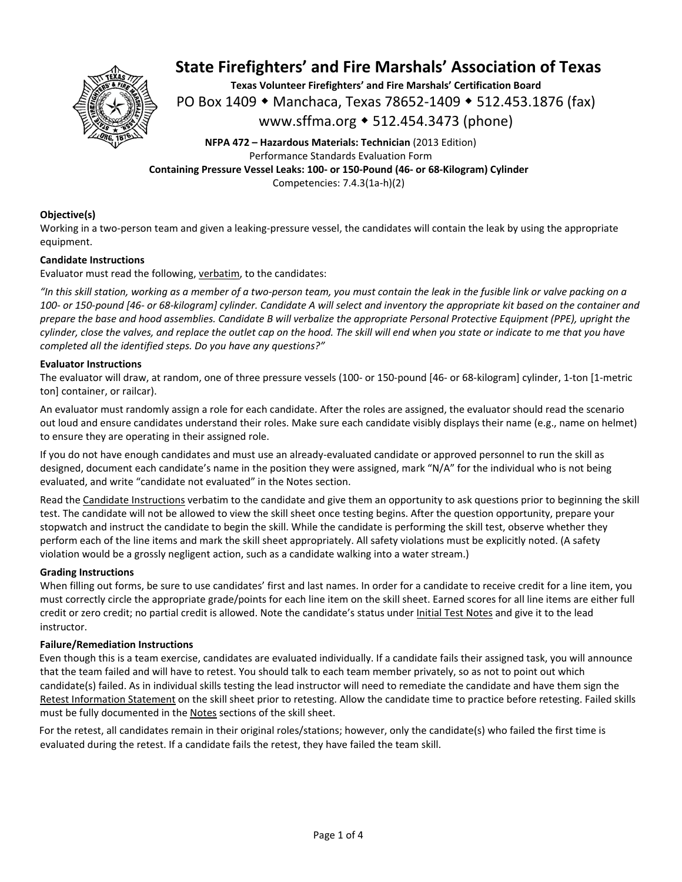

**Texas Volunteer Firefighters' and Fire Marshals' Certification Board**  PO Box 1409 ◆ Manchaca, Texas 78652-1409 ◆ 512.453.1876 (fax) www.sffma.org 512.454.3473 (phone)

**NFPA 472 – Hazardous Materials: Technician** (2013 Edition) Performance Standards Evaluation Form **Containing Pressure Vessel Leaks: 100‐ or 150‐Pound (46‐ or 68‐Kilogram) Cylinder**  Competencies: 7.4.3(1a‐h)(2)

### **Objective(s)**

Working in a two-person team and given a leaking-pressure vessel, the candidates will contain the leak by using the appropriate equipment.

### **Candidate Instructions**

Evaluator must read the following, verbatim, to the candidates:

*"In this skill station, working as a member of a two‐person team, you must contain the leak in the fusible link or valve packing on a 100‐ or 150‐pound [46‐ or 68‐kilogram] cylinder. Candidate A will select and inventory the appropriate kit based on the container and prepare the base and hood assemblies. Candidate B will verbalize the appropriate Personal Protective Equipment (PPE), upright the cylinder, close the valves, and replace the outlet cap on the hood. The skill will end when you state or indicate to me that you have completed all the identified steps. Do you have any questions?"*

### **Evaluator Instructions**

The evaluator will draw, at random, one of three pressure vessels (100‐ or 150‐pound [46‐ or 68‐kilogram] cylinder, 1‐ton [1‐metric ton] container, or railcar).

An evaluator must randomly assign a role for each candidate. After the roles are assigned, the evaluator should read the scenario out loud and ensure candidates understand their roles. Make sure each candidate visibly displays their name (e.g., name on helmet) to ensure they are operating in their assigned role.

If you do not have enough candidates and must use an already‐evaluated candidate or approved personnel to run the skill as designed, document each candidate's name in the position they were assigned, mark "N/A" for the individual who is not being evaluated, and write "candidate not evaluated" in the Notes section.

Read the Candidate Instructions verbatim to the candidate and give them an opportunity to ask questions prior to beginning the skill test. The candidate will not be allowed to view the skill sheet once testing begins. After the question opportunity, prepare your stopwatch and instruct the candidate to begin the skill. While the candidate is performing the skill test, observe whether they perform each of the line items and mark the skill sheet appropriately. All safety violations must be explicitly noted. (A safety violation would be a grossly negligent action, such as a candidate walking into a water stream.)

### **Grading Instructions**

When filling out forms, be sure to use candidates' first and last names. In order for a candidate to receive credit for a line item, you must correctly circle the appropriate grade/points for each line item on the skill sheet. Earned scores for all line items are either full credit or zero credit; no partial credit is allowed. Note the candidate's status under Initial Test Notes and give it to the lead instructor.

### **Failure/Remediation Instructions**

Even though this is a team exercise, candidates are evaluated individually. If a candidate fails their assigned task, you will announce that the team failed and will have to retest. You should talk to each team member privately, so as not to point out which candidate(s) failed. As in individual skills testing the lead instructor will need to remediate the candidate and have them sign the Retest Information Statement on the skill sheet prior to retesting. Allow the candidate time to practice before retesting. Failed skills must be fully documented in the Notes sections of the skill sheet.

For the retest, all candidates remain in their original roles/stations; however, only the candidate(s) who failed the first time is evaluated during the retest. If a candidate fails the retest, they have failed the team skill.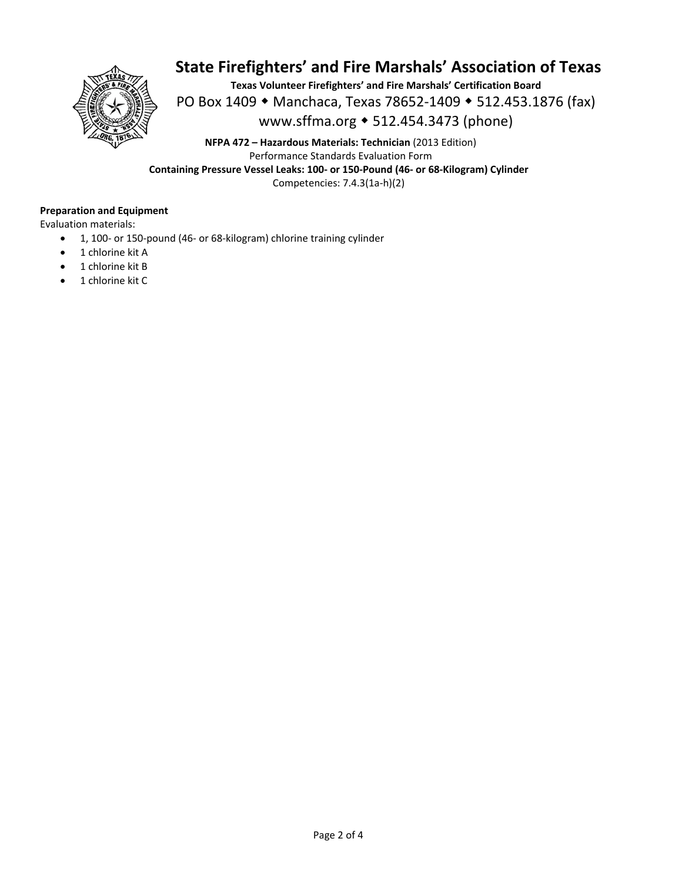

**Texas Volunteer Firefighters' and Fire Marshals' Certification Board**  PO Box 1409 ◆ Manchaca, Texas 78652-1409 ◆ 512.453.1876 (fax) www.sffma.org 512.454.3473 (phone)

**NFPA 472 – Hazardous Materials: Technician** (2013 Edition) Performance Standards Evaluation Form **Containing Pressure Vessel Leaks: 100‐ or 150‐Pound (46‐ or 68‐Kilogram) Cylinder**  Competencies: 7.4.3(1a‐h)(2)

### **Preparation and Equipment**

Evaluation materials:

- 1, 100- or 150-pound (46- or 68-kilogram) chlorine training cylinder
- 1 chlorine kit A
- 1 chlorine kit B
- 1 chlorine kit C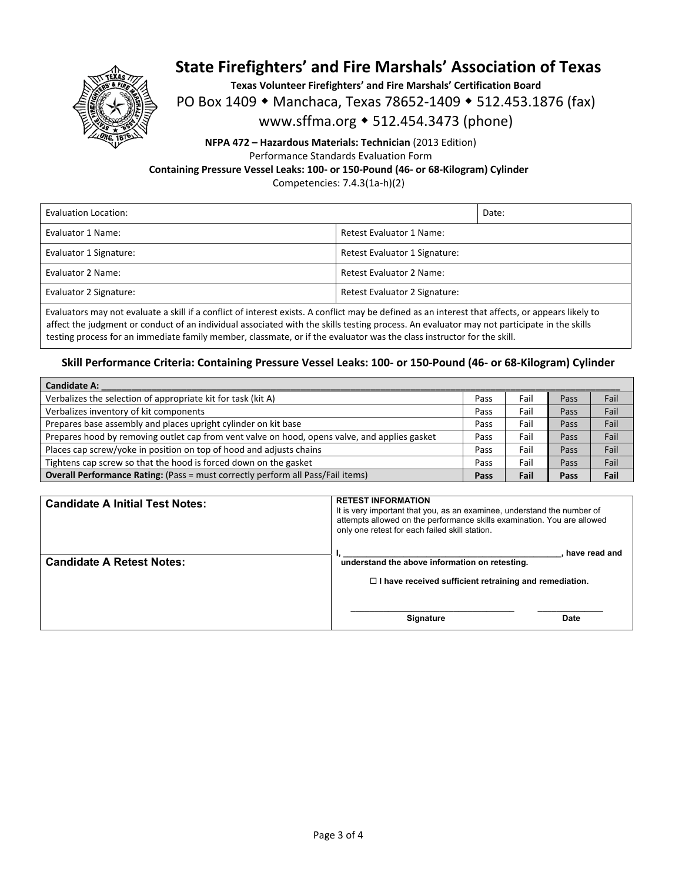

**Texas Volunteer Firefighters' and Fire Marshals' Certification Board** 

PO Box 1409 • Manchaca, Texas 78652-1409 • 512.453.1876 (fax)

www.sffma.org 512.454.3473 (phone)

## **NFPA 472 – Hazardous Materials: Technician** (2013 Edition) Performance Standards Evaluation Form **Containing Pressure Vessel Leaks: 100‐ or 150‐Pound (46‐ or 68‐Kilogram) Cylinder**  Competencies: 7.4.3(1a‐h)(2)

| Evaluation Location:   |                               | Date: |
|------------------------|-------------------------------|-------|
| Evaluator 1 Name:      | Retest Evaluator 1 Name:      |       |
| Evaluator 1 Signature: | Retest Evaluator 1 Signature: |       |
| Evaluator 2 Name:      | Retest Evaluator 2 Name:      |       |
| Evaluator 2 Signature: | Retest Evaluator 2 Signature: |       |

Evaluators may not evaluate a skill if a conflict of interest exists. A conflict may be defined as an interest that affects, or appears likely to affect the judgment or conduct of an individual associated with the skills testing process. An evaluator may not participate in the skills testing process for an immediate family member, classmate, or if the evaluator was the class instructor for the skill.

## **Skill Performance Criteria: Containing Pressure Vessel Leaks: 100‐ or 150‐Pound (46‐ or 68‐Kilogram) Cylinder**

| <b>Candidate A:</b>                                                                           |      |      |      |      |
|-----------------------------------------------------------------------------------------------|------|------|------|------|
| Verbalizes the selection of appropriate kit for task (kit A)                                  | Pass | Fail | Pass | Fail |
| Verbalizes inventory of kit components                                                        | Pass | Fail | Pass | Fail |
| Prepares base assembly and places upright cylinder on kit base                                | Pass | Fail | Pass | Fail |
| Prepares hood by removing outlet cap from vent valve on hood, opens valve, and applies gasket | Pass | Fail | Pass | Fail |
| Places cap screw/yoke in position on top of hood and adjusts chains                           | Pass | Fail | Pass | Fail |
| Tightens cap screw so that the hood is forced down on the gasket                              | Pass | Fail | Pass | Fail |
| <b>Overall Performance Rating:</b> (Pass = must correctly perform all Pass/Fail items)        |      | Fail | Pass | Fail |

| <b>Candidate A Initial Test Notes:</b> | <b>RETEST INFORMATION</b><br>It is very important that you, as an examinee, understand the number of<br>attempts allowed on the performance skills examination. You are allowed<br>only one retest for each failed skill station. |
|----------------------------------------|-----------------------------------------------------------------------------------------------------------------------------------------------------------------------------------------------------------------------------------|
| <b>Candidate A Retest Notes:</b>       | have read and<br>understand the above information on retesting.<br>$\Box$ I have received sufficient retraining and remediation.                                                                                                  |
|                                        | <b>Signature</b><br>Date                                                                                                                                                                                                          |